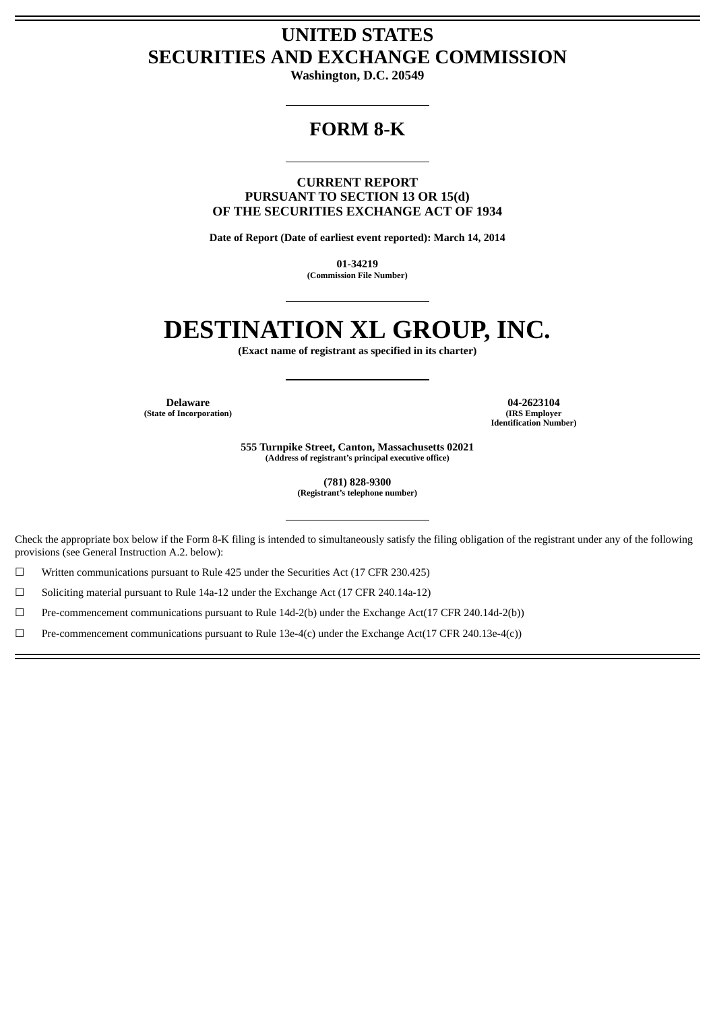# **UNITED STATES SECURITIES AND EXCHANGE COMMISSION**

**Washington, D.C. 20549**

# **FORM 8-K**

**CURRENT REPORT PURSUANT TO SECTION 13 OR 15(d) OF THE SECURITIES EXCHANGE ACT OF 1934**

**Date of Report (Date of earliest event reported): March 14, 2014**

**01-34219 (Commission File Number)**

# **DESTINATION XL GROUP, INC.**

**(Exact name of registrant as specified in its charter)**

 $(State of Incorporation)$ 

**Delaware 04-2623104 Identification Number)**

> **555 Turnpike Street, Canton, Massachusetts 02021 (Address of registrant's principal executive office)**

> > **(781) 828-9300 (Registrant's telephone number)**

Check the appropriate box below if the Form 8-K filing is intended to simultaneously satisfy the filing obligation of the registrant under any of the following provisions (see General Instruction A.2. below):

☐ Written communications pursuant to Rule 425 under the Securities Act (17 CFR 230.425)

☐ Soliciting material pursuant to Rule 14a-12 under the Exchange Act (17 CFR 240.14a-12)

☐ Pre-commencement communications pursuant to Rule 14d-2(b) under the Exchange Act(17 CFR 240.14d-2(b))

 $□$  Pre-commencement communications pursuant to Rule 13e-4(c) under the Exchange Act(17 CFR 240.13e-4(c))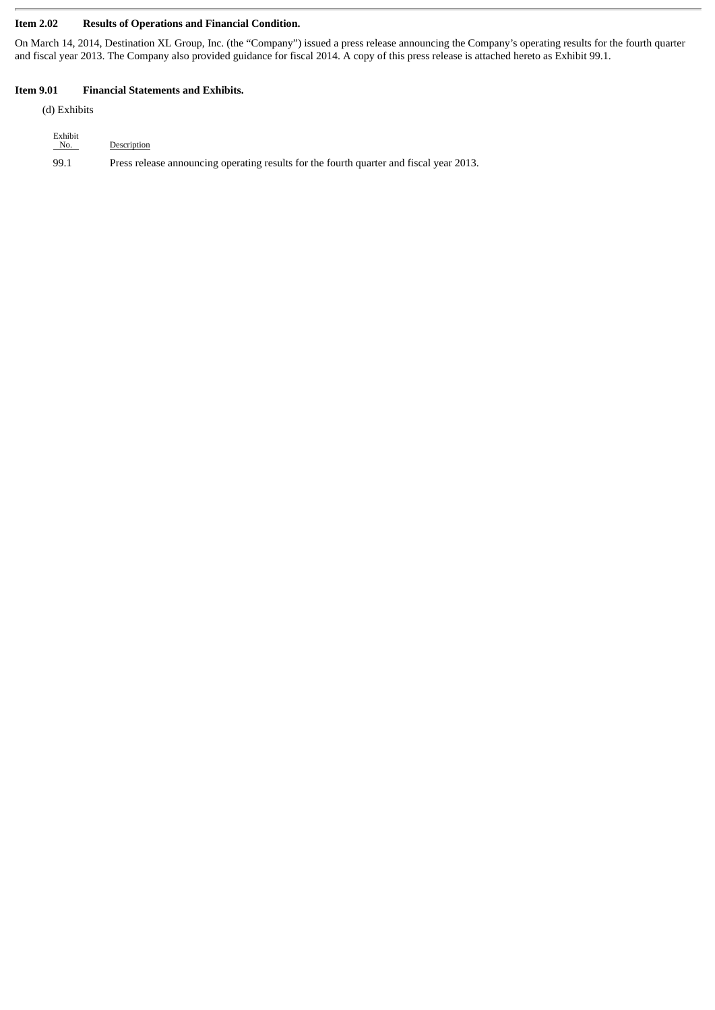# **Item 2.02 Results of Operations and Financial Condition.**

On March 14, 2014, Destination XL Group, Inc. (the "Company") issued a press release announcing the Company's operating results for the fourth quarter and fiscal year 2013. The Company also provided guidance for fiscal 2014. A copy of this press release is attached hereto as Exhibit 99.1.

#### **Item 9.01 Financial Statements and Exhibits.**

(d) Exhibits

| Exhibit<br>No. | Description                                                                             |
|----------------|-----------------------------------------------------------------------------------------|
| 99.1           | Press release announcing operating results for the fourth quarter and fiscal year 2013. |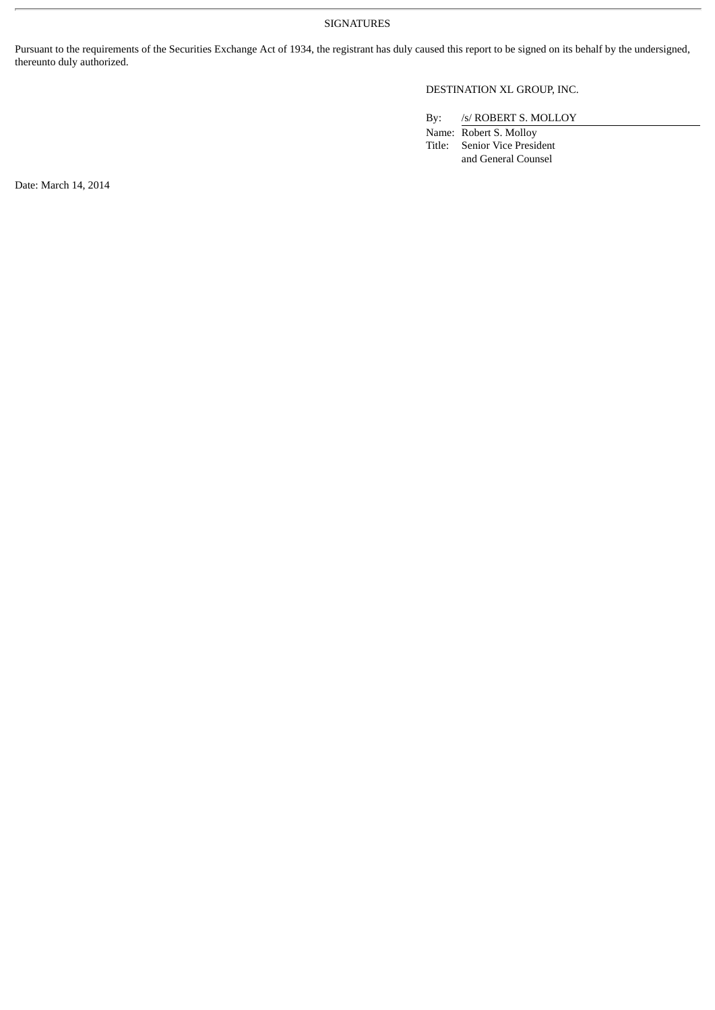# SIGNATURES

Pursuant to the requirements of the Securities Exchange Act of 1934, the registrant has duly caused this report to be signed on its behalf by the undersigned, thereunto duly authorized.

# DESTINATION XL GROUP, INC.

By: /s/ ROBERT S. MOLLOY

Name: Robert S. Molloy Title: Senior Vice President and General Counsel

Date: March 14, 2014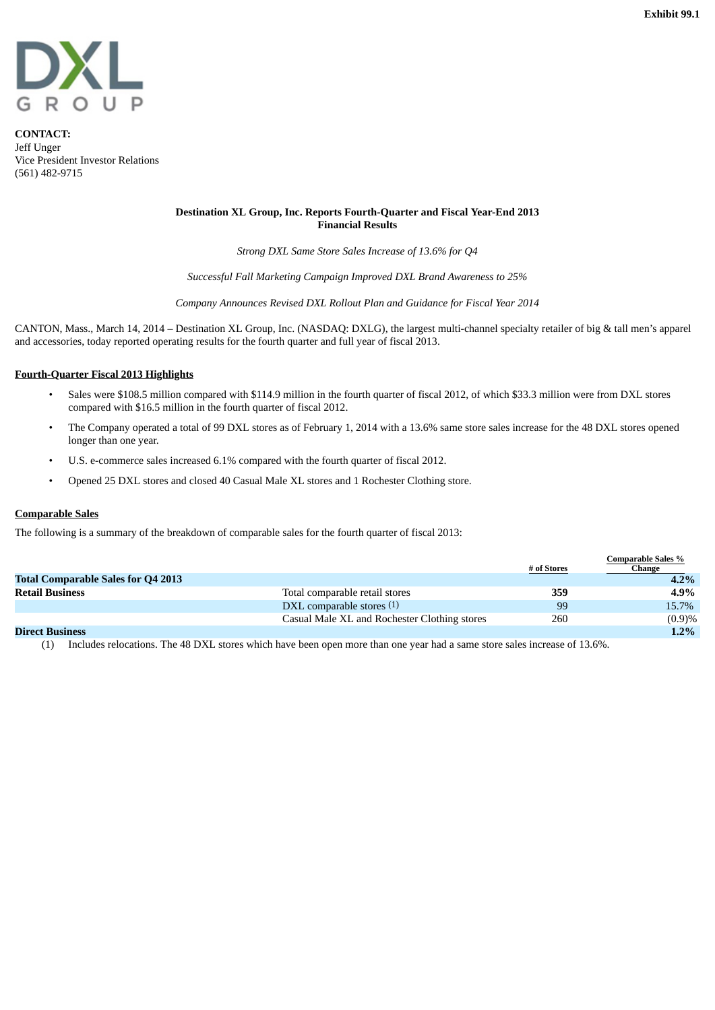

**CONTACT:** Jeff Unger Vice President Investor Relations (561) 482-9715

#### **Destination XL Group, Inc. Reports Fourth-Quarter and Fiscal Year-End 2013 Financial Results**

*Strong DXL Same Store Sales Increase of 13.6% for Q4*

*Successful Fall Marketing Campaign Improved DXL Brand Awareness to 25%*

*Company Announces Revised DXL Rollout Plan and Guidance for Fiscal Year 2014*

CANTON, Mass., March 14, 2014 – Destination XL Group, Inc. (NASDAQ: DXLG), the largest multi-channel specialty retailer of big & tall men's apparel and accessories, today reported operating results for the fourth quarter and full year of fiscal 2013.

#### **Fourth-Quarter Fiscal 2013 Highlights**

- Sales were \$108.5 million compared with \$114.9 million in the fourth quarter of fiscal 2012, of which \$33.3 million were from DXL stores compared with \$16.5 million in the fourth quarter of fiscal 2012.
- The Company operated a total of 99 DXL stores as of February 1, 2014 with a 13.6% same store sales increase for the 48 DXL stores opened longer than one year.
- U.S. e-commerce sales increased 6.1% compared with the fourth quarter of fiscal 2012.
- Opened 25 DXL stores and closed 40 Casual Male XL stores and 1 Rochester Clothing store.

#### **Comparable Sales**

The following is a summary of the breakdown of comparable sales for the fourth quarter of fiscal 2013:

|                                           |                                              |             | Comparable Sales % |  |
|-------------------------------------------|----------------------------------------------|-------------|--------------------|--|
|                                           |                                              | # of Stores | Change             |  |
| <b>Total Comparable Sales for Q4 2013</b> |                                              |             | $4.2\%$            |  |
| <b>Retail Business</b>                    | Total comparable retail stores               | 359         | 4.9%               |  |
|                                           | DXL comparable stores $(1)$                  | 99          | 15.7%              |  |
|                                           | Casual Male XL and Rochester Clothing stores | 260         | (0.9)%             |  |

#### **Direct Business 1.2%**

(1) Includes relocations. The 48 DXL stores which have been open more than one year had a same store sales increase of 13.6%.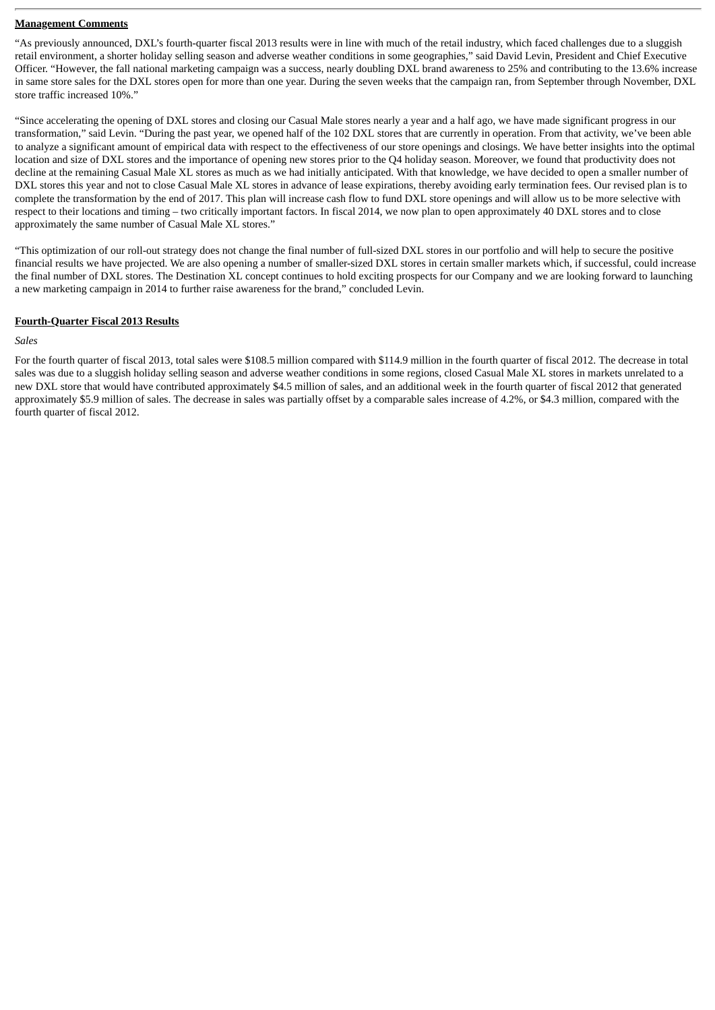#### **Management Comments**

"As previously announced, DXL's fourth-quarter fiscal 2013 results were in line with much of the retail industry, which faced challenges due to a sluggish retail environment, a shorter holiday selling season and adverse weather conditions in some geographies," said David Levin, President and Chief Executive Officer. "However, the fall national marketing campaign was a success, nearly doubling DXL brand awareness to 25% and contributing to the 13.6% increase in same store sales for the DXL stores open for more than one year. During the seven weeks that the campaign ran, from September through November, DXL store traffic increased 10%."

"Since accelerating the opening of DXL stores and closing our Casual Male stores nearly a year and a half ago, we have made significant progress in our transformation," said Levin. "During the past year, we opened half of the 102 DXL stores that are currently in operation. From that activity, we've been able to analyze a significant amount of empirical data with respect to the effectiveness of our store openings and closings. We have better insights into the optimal location and size of DXL stores and the importance of opening new stores prior to the Q4 holiday season. Moreover, we found that productivity does not decline at the remaining Casual Male XL stores as much as we had initially anticipated. With that knowledge, we have decided to open a smaller number of DXL stores this year and not to close Casual Male XL stores in advance of lease expirations, thereby avoiding early termination fees. Our revised plan is to complete the transformation by the end of 2017. This plan will increase cash flow to fund DXL store openings and will allow us to be more selective with respect to their locations and timing – two critically important factors. In fiscal 2014, we now plan to open approximately 40 DXL stores and to close approximately the same number of Casual Male XL stores."

"This optimization of our roll-out strategy does not change the final number of full-sized DXL stores in our portfolio and will help to secure the positive financial results we have projected. We are also opening a number of smaller-sized DXL stores in certain smaller markets which, if successful, could increase the final number of DXL stores. The Destination XL concept continues to hold exciting prospects for our Company and we are looking forward to launching a new marketing campaign in 2014 to further raise awareness for the brand," concluded Levin.

#### **Fourth-Quarter Fiscal 2013 Results**

#### *Sales*

For the fourth quarter of fiscal 2013, total sales were \$108.5 million compared with \$114.9 million in the fourth quarter of fiscal 2012. The decrease in total sales was due to a sluggish holiday selling season and adverse weather conditions in some regions, closed Casual Male XL stores in markets unrelated to a new DXL store that would have contributed approximately \$4.5 million of sales, and an additional week in the fourth quarter of fiscal 2012 that generated approximately \$5.9 million of sales. The decrease in sales was partially offset by a comparable sales increase of 4.2%, or \$4.3 million, compared with the fourth quarter of fiscal 2012.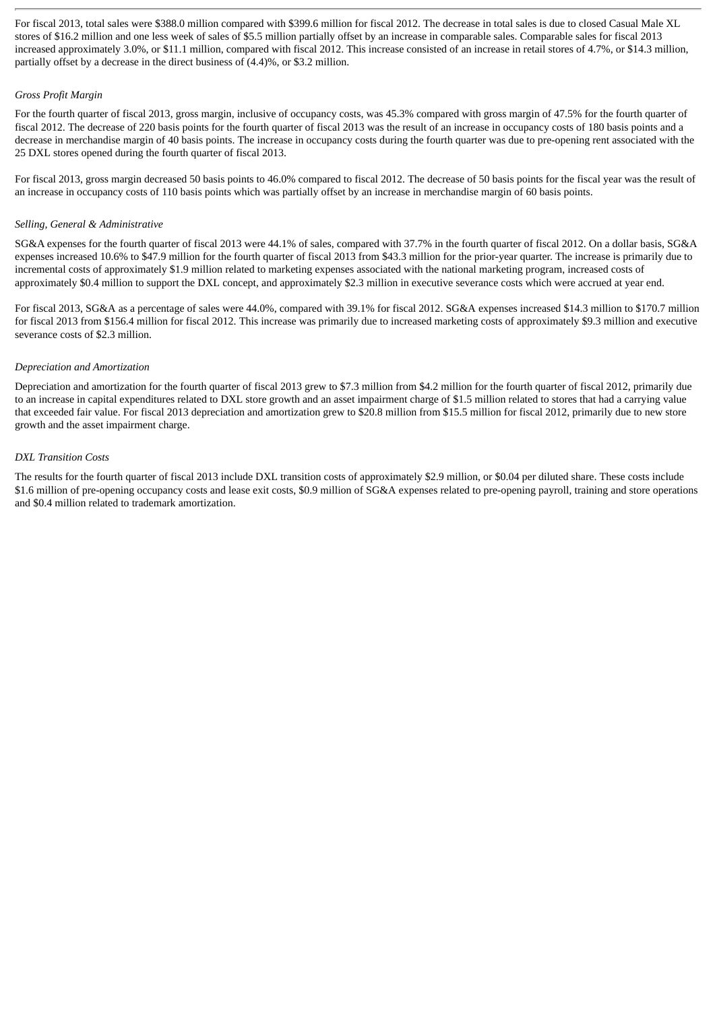For fiscal 2013, total sales were \$388.0 million compared with \$399.6 million for fiscal 2012. The decrease in total sales is due to closed Casual Male XL stores of \$16.2 million and one less week of sales of \$5.5 million partially offset by an increase in comparable sales. Comparable sales for fiscal 2013 increased approximately 3.0%, or \$11.1 million, compared with fiscal 2012. This increase consisted of an increase in retail stores of 4.7%, or \$14.3 million, partially offset by a decrease in the direct business of (4.4)%, or \$3.2 million.

#### *Gross Profit Margin*

For the fourth quarter of fiscal 2013, gross margin, inclusive of occupancy costs, was 45.3% compared with gross margin of 47.5% for the fourth quarter of fiscal 2012. The decrease of 220 basis points for the fourth quarter of fiscal 2013 was the result of an increase in occupancy costs of 180 basis points and a decrease in merchandise margin of 40 basis points. The increase in occupancy costs during the fourth quarter was due to pre-opening rent associated with the 25 DXL stores opened during the fourth quarter of fiscal 2013.

For fiscal 2013, gross margin decreased 50 basis points to 46.0% compared to fiscal 2012. The decrease of 50 basis points for the fiscal year was the result of an increase in occupancy costs of 110 basis points which was partially offset by an increase in merchandise margin of 60 basis points.

#### *Selling, General & Administrative*

SG&A expenses for the fourth quarter of fiscal 2013 were 44.1% of sales, compared with 37.7% in the fourth quarter of fiscal 2012. On a dollar basis, SG&A expenses increased 10.6% to \$47.9 million for the fourth quarter of fiscal 2013 from \$43.3 million for the prior-year quarter. The increase is primarily due to incremental costs of approximately \$1.9 million related to marketing expenses associated with the national marketing program, increased costs of approximately \$0.4 million to support the DXL concept, and approximately \$2.3 million in executive severance costs which were accrued at year end.

For fiscal 2013, SG&A as a percentage of sales were 44.0%, compared with 39.1% for fiscal 2012. SG&A expenses increased \$14.3 million to \$170.7 million for fiscal 2013 from \$156.4 million for fiscal 2012. This increase was primarily due to increased marketing costs of approximately \$9.3 million and executive severance costs of \$2.3 million.

#### *Depreciation and Amortization*

Depreciation and amortization for the fourth quarter of fiscal 2013 grew to \$7.3 million from \$4.2 million for the fourth quarter of fiscal 2012, primarily due to an increase in capital expenditures related to DXL store growth and an asset impairment charge of \$1.5 million related to stores that had a carrying value that exceeded fair value. For fiscal 2013 depreciation and amortization grew to \$20.8 million from \$15.5 million for fiscal 2012, primarily due to new store growth and the asset impairment charge.

#### *DXL Transition Costs*

The results for the fourth quarter of fiscal 2013 include DXL transition costs of approximately \$2.9 million, or \$0.04 per diluted share. These costs include \$1.6 million of pre-opening occupancy costs and lease exit costs, \$0.9 million of SG&A expenses related to pre-opening payroll, training and store operations and \$0.4 million related to trademark amortization.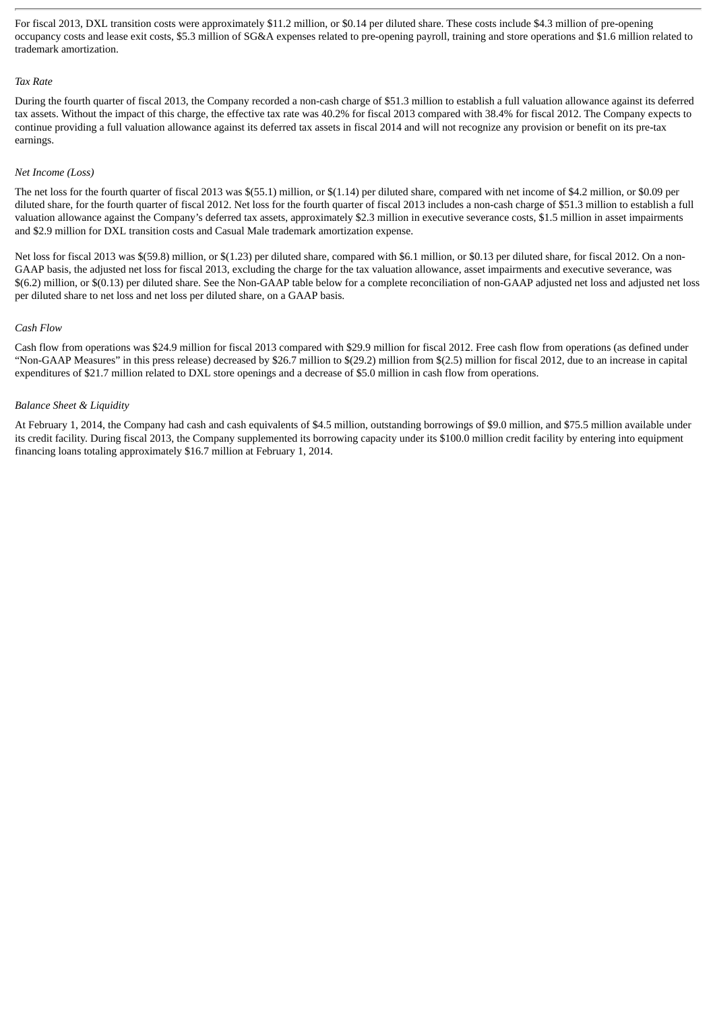For fiscal 2013, DXL transition costs were approximately \$11.2 million, or \$0.14 per diluted share. These costs include \$4.3 million of pre-opening occupancy costs and lease exit costs, \$5.3 million of SG&A expenses related to pre-opening payroll, training and store operations and \$1.6 million related to trademark amortization.

#### *Tax Rate*

During the fourth quarter of fiscal 2013, the Company recorded a non-cash charge of \$51.3 million to establish a full valuation allowance against its deferred tax assets. Without the impact of this charge, the effective tax rate was 40.2% for fiscal 2013 compared with 38.4% for fiscal 2012. The Company expects to continue providing a full valuation allowance against its deferred tax assets in fiscal 2014 and will not recognize any provision or benefit on its pre-tax earnings.

#### *Net Income (Loss)*

The net loss for the fourth quarter of fiscal 2013 was \$(55.1) million, or \$(1.14) per diluted share, compared with net income of \$4.2 million, or \$0.09 per diluted share, for the fourth quarter of fiscal 2012. Net loss for the fourth quarter of fiscal 2013 includes a non-cash charge of \$51.3 million to establish a full valuation allowance against the Company's deferred tax assets, approximately \$2.3 million in executive severance costs, \$1.5 million in asset impairments and \$2.9 million for DXL transition costs and Casual Male trademark amortization expense.

Net loss for fiscal 2013 was \$(59.8) million, or \$(1.23) per diluted share, compared with \$6.1 million, or \$0.13 per diluted share, for fiscal 2012. On a non-GAAP basis, the adjusted net loss for fiscal 2013, excluding the charge for the tax valuation allowance, asset impairments and executive severance, was \$(6.2) million, or \$(0.13) per diluted share. See the Non-GAAP table below for a complete reconciliation of non-GAAP adjusted net loss and adjusted net loss per diluted share to net loss and net loss per diluted share, on a GAAP basis.

#### *Cash Flow*

Cash flow from operations was \$24.9 million for fiscal 2013 compared with \$29.9 million for fiscal 2012. Free cash flow from operations (as defined under "Non-GAAP Measures" in this press release) decreased by \$26.7 million to \$(29.2) million from \$(2.5) million for fiscal 2012, due to an increase in capital expenditures of \$21.7 million related to DXL store openings and a decrease of \$5.0 million in cash flow from operations.

#### *Balance Sheet & Liquidity*

At February 1, 2014, the Company had cash and cash equivalents of \$4.5 million, outstanding borrowings of \$9.0 million, and \$75.5 million available under its credit facility. During fiscal 2013, the Company supplemented its borrowing capacity under its \$100.0 million credit facility by entering into equipment financing loans totaling approximately \$16.7 million at February 1, 2014.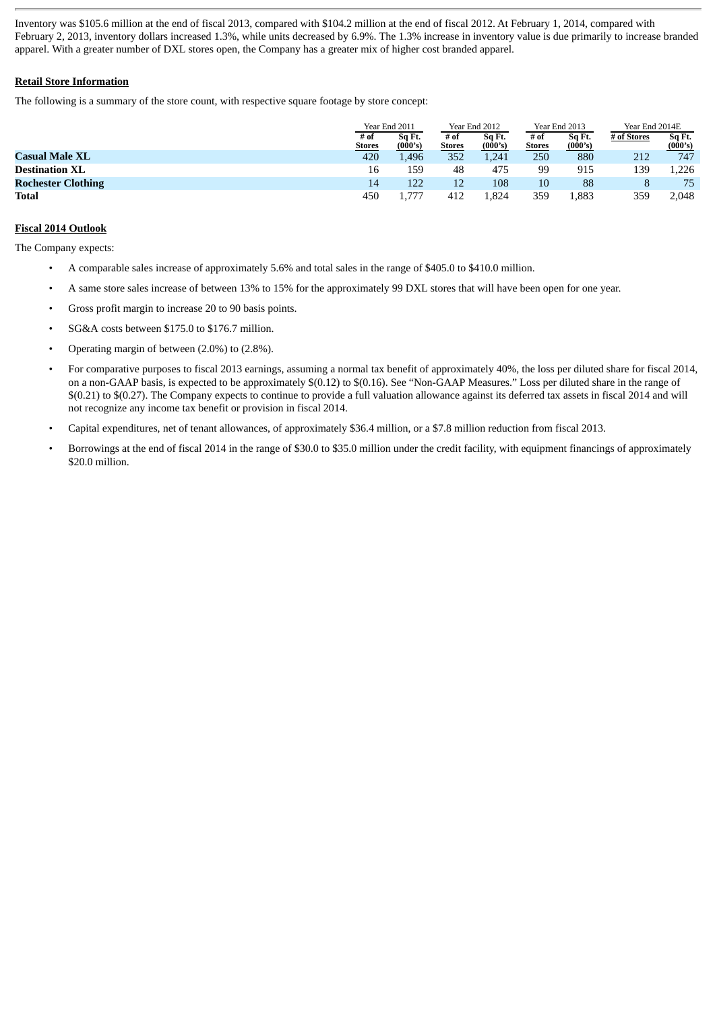Inventory was \$105.6 million at the end of fiscal 2013, compared with \$104.2 million at the end of fiscal 2012. At February 1, 2014, compared with February 2, 2013, inventory dollars increased 1.3%, while units decreased by 6.9%. The 1.3% increase in inventory value is due primarily to increase branded apparel. With a greater number of DXL stores open, the Company has a greater mix of higher cost branded apparel.

# **Retail Store Information**

The following is a summary of the store count, with respective square footage by store concept:

|                           |                | Year End 2011     |                       | Year End 2012     |                       | Year End 2013     | Year End 2014E |                   |
|---------------------------|----------------|-------------------|-----------------------|-------------------|-----------------------|-------------------|----------------|-------------------|
|                           | # of<br>Stores | Sq Ft.<br>(000's) | # of<br><b>Stores</b> | Sq Ft.<br>(000's) | # of<br><b>Stores</b> | Sa Ft.<br>(000's) | # of Stores    | Sq Ft.<br>(000's) |
| <b>Casual Male XL</b>     | 420            | .,496             | 352                   | 1.241             | 250                   | 880               | 212            | 747               |
| <b>Destination XL</b>     | 16             | 159               | 48                    | 475               | 99                    | 915               | 139            | .226              |
| <b>Rochester Clothing</b> | 14             | 122               | ᅩ                     | 108               | 10                    | 88                |                | 75                |
| <b>Total</b>              | 450            | .777              | 412                   | 1,824             | 359                   | 1.883             | 359            | 2,048             |

#### **Fiscal 2014 Outlook**

The Company expects:

- A comparable sales increase of approximately 5.6% and total sales in the range of \$405.0 to \$410.0 million.
- A same store sales increase of between 13% to 15% for the approximately 99 DXL stores that will have been open for one year.
- Gross profit margin to increase 20 to 90 basis points.
- SG&A costs between \$175.0 to \$176.7 million.
- Operating margin of between (2.0%) to (2.8%).
- For comparative purposes to fiscal 2013 earnings, assuming a normal tax benefit of approximately 40%, the loss per diluted share for fiscal 2014, on a non-GAAP basis, is expected to be approximately \$(0.12) to \$(0.16). See "Non-GAAP Measures." Loss per diluted share in the range of \$(0.21) to \$(0.27). The Company expects to continue to provide a full valuation allowance against its deferred tax assets in fiscal 2014 and will not recognize any income tax benefit or provision in fiscal 2014.
- Capital expenditures, net of tenant allowances, of approximately \$36.4 million, or a \$7.8 million reduction from fiscal 2013.
- Borrowings at the end of fiscal 2014 in the range of \$30.0 to \$35.0 million under the credit facility, with equipment financings of approximately \$20.0 million.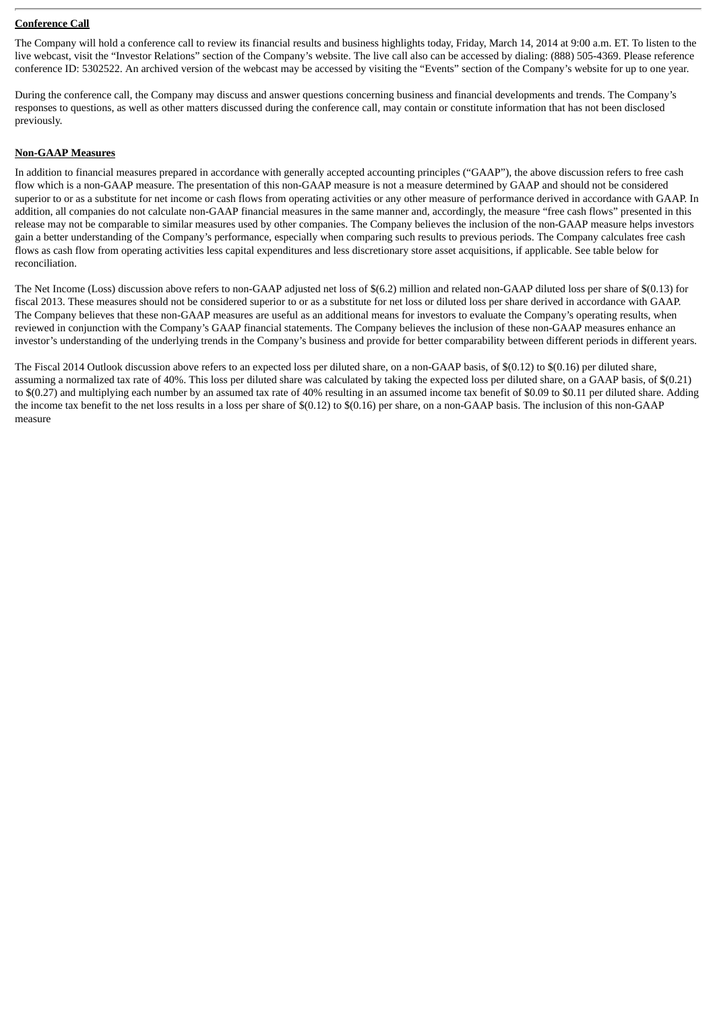# **Conference Call**

The Company will hold a conference call to review its financial results and business highlights today, Friday, March 14, 2014 at 9:00 a.m. ET. To listen to the live webcast, visit the "Investor Relations" section of the Company's website. The live call also can be accessed by dialing: (888) 505-4369. Please reference conference ID: 5302522. An archived version of the webcast may be accessed by visiting the "Events" section of the Company's website for up to one year.

During the conference call, the Company may discuss and answer questions concerning business and financial developments and trends. The Company's responses to questions, as well as other matters discussed during the conference call, may contain or constitute information that has not been disclosed previously.

#### **Non-GAAP Measures**

In addition to financial measures prepared in accordance with generally accepted accounting principles ("GAAP"), the above discussion refers to free cash flow which is a non-GAAP measure. The presentation of this non-GAAP measure is not a measure determined by GAAP and should not be considered superior to or as a substitute for net income or cash flows from operating activities or any other measure of performance derived in accordance with GAAP. In addition, all companies do not calculate non-GAAP financial measures in the same manner and, accordingly, the measure "free cash flows" presented in this release may not be comparable to similar measures used by other companies. The Company believes the inclusion of the non-GAAP measure helps investors gain a better understanding of the Company's performance, especially when comparing such results to previous periods. The Company calculates free cash flows as cash flow from operating activities less capital expenditures and less discretionary store asset acquisitions, if applicable. See table below for reconciliation.

The Net Income (Loss) discussion above refers to non-GAAP adjusted net loss of \$(6.2) million and related non-GAAP diluted loss per share of \$(0.13) for fiscal 2013. These measures should not be considered superior to or as a substitute for net loss or diluted loss per share derived in accordance with GAAP. The Company believes that these non-GAAP measures are useful as an additional means for investors to evaluate the Company's operating results, when reviewed in conjunction with the Company's GAAP financial statements. The Company believes the inclusion of these non-GAAP measures enhance an investor's understanding of the underlying trends in the Company's business and provide for better comparability between different periods in different years.

The Fiscal 2014 Outlook discussion above refers to an expected loss per diluted share, on a non-GAAP basis, of \$(0.12) to \$(0.16) per diluted share, assuming a normalized tax rate of 40%. This loss per diluted share was calculated by taking the expected loss per diluted share, on a GAAP basis, of \$(0.21) to \$(0.27) and multiplying each number by an assumed tax rate of 40% resulting in an assumed income tax benefit of \$0.09 to \$0.11 per diluted share. Adding the income tax benefit to the net loss results in a loss per share of \$(0.12) to \$(0.16) per share, on a non-GAAP basis. The inclusion of this non-GAAP measure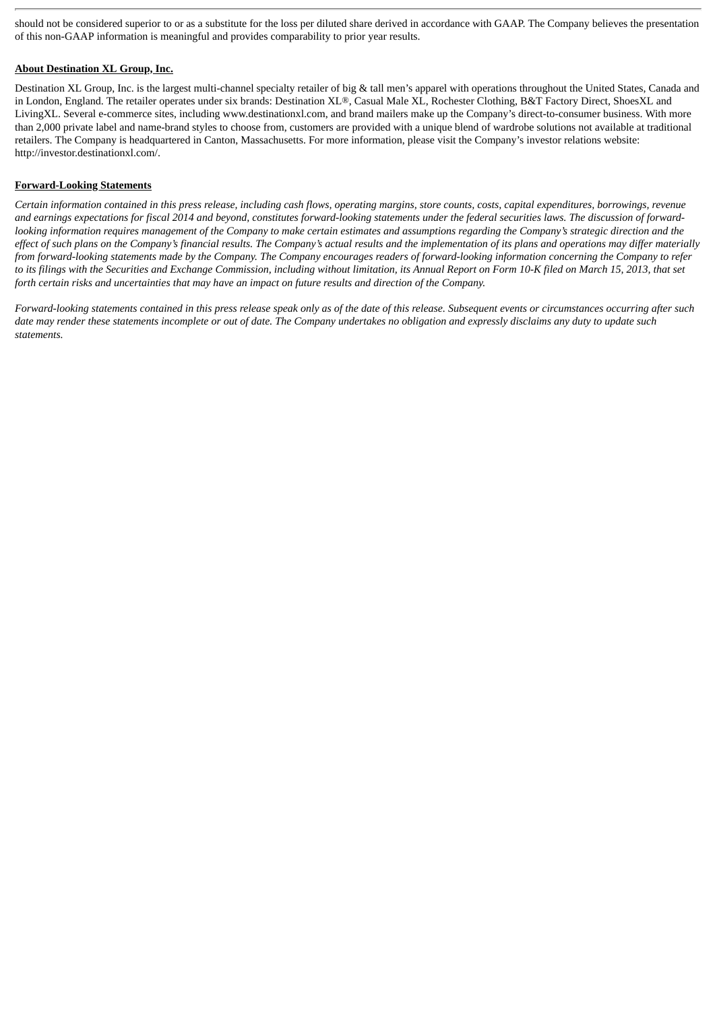should not be considered superior to or as a substitute for the loss per diluted share derived in accordance with GAAP. The Company believes the presentation of this non-GAAP information is meaningful and provides comparability to prior year results.

## **About Destination XL Group, Inc.**

Destination XL Group, Inc. is the largest multi-channel specialty retailer of big & tall men's apparel with operations throughout the United States, Canada and in London, England. The retailer operates under six brands: Destination XL®, Casual Male XL, Rochester Clothing, B&T Factory Direct, ShoesXL and LivingXL. Several e-commerce sites, including www.destinationxl.com, and brand mailers make up the Company's direct-to-consumer business. With more than 2,000 private label and name-brand styles to choose from, customers are provided with a unique blend of wardrobe solutions not available at traditional retailers. The Company is headquartered in Canton, Massachusetts. For more information, please visit the Company's investor relations website: http://investor.destinationxl.com/.

# **Forward-Looking Statements**

Certain information contained in this press release, including cash flows, operating margins, store counts, costs, capital expenditures, borrowings, revenue and earnings expectations for fiscal 2014 and beyond, constitutes forward-looking statements under the federal securities laws. The discussion of forwardlooking information requires management of the Company to make certain estimates and assumptions regarding the Company's strategic direction and the effect of such plans on the Company's financial results. The Company's actual results and the implementation of its plans and operations may differ materially from forward-looking statements made by the Company. The Company encourages readers of forward-looking information concerning the Company to refer to its filings with the Securities and Exchange Commission, including without limitation, its Annual Report on Form 10-K filed on March 15, 2013, that set forth certain risks and uncertainties that may have an impact on future results and direction of the Company.

Forward-looking statements contained in this press release speak only as of the date of this release. Subsequent events or circumstances occurring after such date may render these statements incomplete or out of date. The Company undertakes no obligation and expressly disclaims any duty to update such *statements.*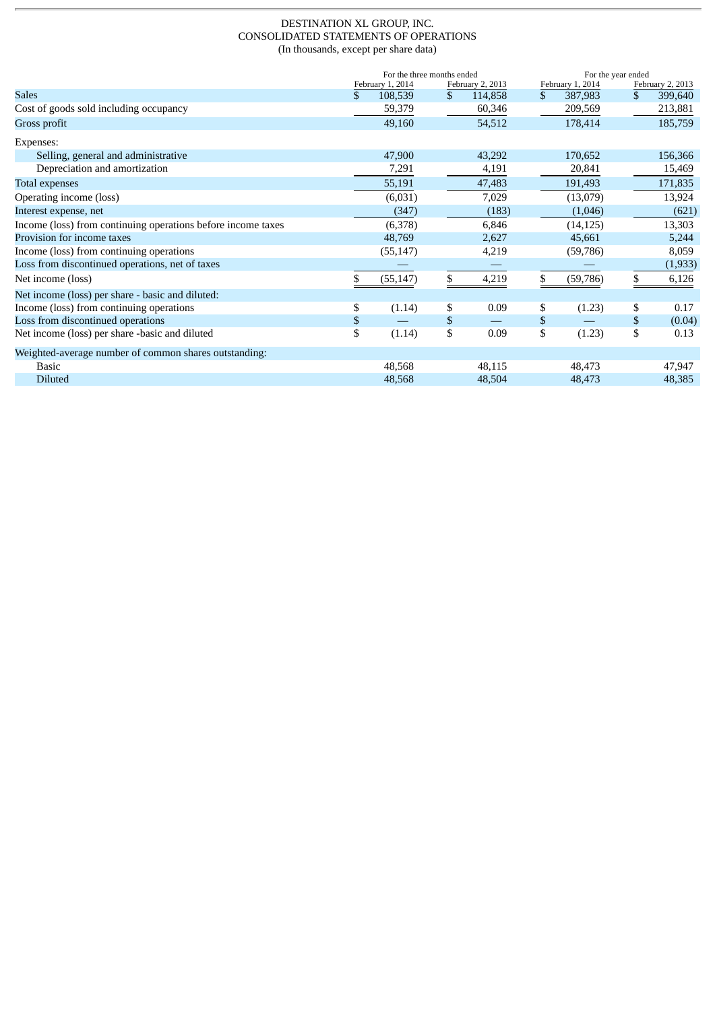#### DESTINATION XL GROUP, INC. CONSOLIDATED STATEMENTS OF OPERATIONS (In thousands, except per share data)

|                                                              |     | For the three months ended<br>February 1, 2014<br>February 2, 2013 |              |         |    | For the year ended<br>February 1, 2014 | February 2, 2013 |          |  |
|--------------------------------------------------------------|-----|--------------------------------------------------------------------|--------------|---------|----|----------------------------------------|------------------|----------|--|
| <b>Sales</b>                                                 | \$. | 108,539                                                            | $\mathbb{S}$ | 114,858 | \$ | 387,983                                | \$               | 399,640  |  |
| Cost of goods sold including occupancy                       |     | 59,379                                                             |              | 60,346  |    | 209,569                                |                  | 213,881  |  |
| Gross profit                                                 |     | 49,160                                                             |              | 54,512  |    | 178,414                                |                  | 185,759  |  |
| Expenses:                                                    |     |                                                                    |              |         |    |                                        |                  |          |  |
| Selling, general and administrative                          |     | 47,900                                                             |              | 43,292  |    | 170,652                                |                  | 156,366  |  |
| Depreciation and amortization                                |     | 7,291                                                              |              | 4,191   |    | 20,841                                 |                  | 15,469   |  |
| <b>Total expenses</b>                                        |     | 55,191                                                             |              | 47,483  |    | 191,493                                |                  | 171,835  |  |
| Operating income (loss)                                      |     | (6,031)                                                            |              | 7,029   |    | (13,079)                               |                  | 13,924   |  |
| Interest expense, net                                        |     | (347)                                                              |              | (183)   |    | (1,046)                                |                  | (621)    |  |
| Income (loss) from continuing operations before income taxes |     | (6,378)                                                            |              | 6,846   |    | (14, 125)                              |                  | 13,303   |  |
| Provision for income taxes                                   |     | 48,769                                                             |              | 2,627   |    | 45,661                                 |                  | 5,244    |  |
| Income (loss) from continuing operations                     |     | (55, 147)                                                          |              | 4,219   |    | (59,786)                               |                  | 8,059    |  |
| Loss from discontinued operations, net of taxes              |     |                                                                    |              |         |    |                                        |                  | (1, 933) |  |
| Net income (loss)                                            |     | (55, 147)                                                          | \$           | 4,219   | \$ | (59, 786)                              | \$               | 6,126    |  |
| Net income (loss) per share - basic and diluted:             |     |                                                                    |              |         |    |                                        |                  |          |  |
| Income (loss) from continuing operations                     | \$  | (1.14)                                                             | \$           | 0.09    | \$ | (1.23)                                 | \$               | 0.17     |  |
| Loss from discontinued operations                            | \$  |                                                                    | \$           |         | \$ |                                        | \$               | (0.04)   |  |
| Net income (loss) per share -basic and diluted               | \$  | (1.14)                                                             | \$           | 0.09    | \$ | (1.23)                                 | \$               | 0.13     |  |
| Weighted-average number of common shares outstanding:        |     |                                                                    |              |         |    |                                        |                  |          |  |
| <b>Basic</b>                                                 |     | 48,568                                                             |              | 48,115  |    | 48,473                                 |                  | 47,947   |  |
| <b>Diluted</b>                                               |     | 48,568                                                             |              | 48,504  |    | 48,473                                 |                  | 48,385   |  |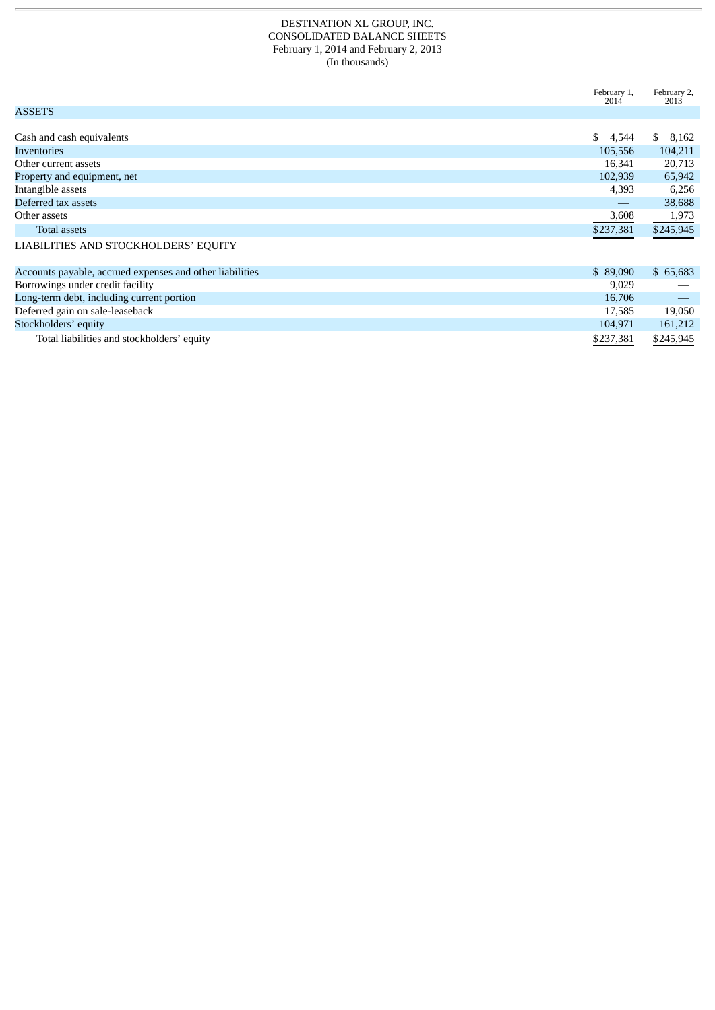# DESTINATION XL GROUP, INC. CONSOLIDATED BALANCE SHEETS February 1, 2014 and February 2, 2013 (In thousands)

|                                                          | February 1,<br>2014 | February 2,<br>2013 |
|----------------------------------------------------------|---------------------|---------------------|
| <b>ASSETS</b>                                            |                     |                     |
|                                                          |                     |                     |
| Cash and cash equivalents                                | \$<br>4,544         | \$8,162             |
| <b>Inventories</b>                                       | 105,556             | 104,211             |
| Other current assets                                     | 16,341              | 20,713              |
| Property and equipment, net                              | 102,939             | 65,942              |
| Intangible assets                                        | 4,393               | 6,256               |
| Deferred tax assets                                      |                     | 38,688              |
| Other assets                                             | 3,608               | 1,973               |
| <b>Total assets</b>                                      | \$237,381           | \$245,945           |
| LIABILITIES AND STOCKHOLDERS' EQUITY                     |                     |                     |
| Accounts payable, accrued expenses and other liabilities | \$89,090            | \$65,683            |
| Borrowings under credit facility                         | 9,029               |                     |
| Long-term debt, including current portion                | 16,706              |                     |
| Deferred gain on sale-leaseback                          | 17,585              | 19,050              |
| Stockholders' equity                                     | 104,971             | 161,212             |
| Total liabilities and stockholders' equity               | \$237,381           | \$245,945           |